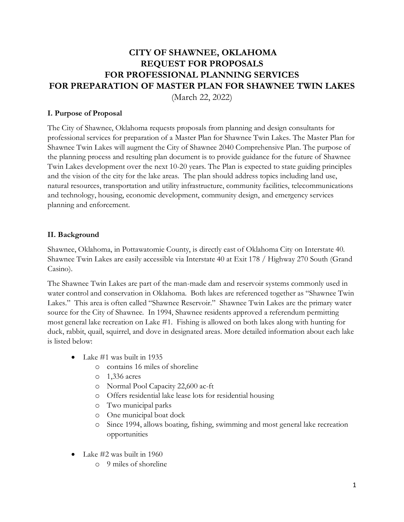# **CITY OF SHAWNEE, OKLAHOMA REQUEST FOR PROPOSALS FOR PROFESSIONAL PLANNING SERVICES FOR PREPARATION OF MASTER PLAN FOR SHAWNEE TWIN LAKES**

(March 22, 2022)

#### **I. Purpose of Proposal**

The City of Shawnee, Oklahoma requests proposals from planning and design consultants for professional services for preparation of a Master Plan for Shawnee Twin Lakes. The Master Plan for Shawnee Twin Lakes will augment the City of Shawnee 2040 Comprehensive Plan. The purpose of the planning process and resulting plan document is to provide guidance for the future of Shawnee Twin Lakes development over the next 10-20 years. The Plan is expected to state guiding principles and the vision of the city for the lake areas. The plan should address topics including land use, natural resources, transportation and utility infrastructure, community facilities, telecommunications and technology, housing, economic development, community design, and emergency services planning and enforcement.

#### **II. Background**

Shawnee, Oklahoma, in Pottawatomie County, is directly east of Oklahoma City on Interstate 40. Shawnee Twin Lakes are easily accessible via Interstate 40 at Exit 178 / Highway 270 South (Grand Casino).

The Shawnee Twin Lakes are part of the man-made dam and reservoir systems commonly used in water control and conservation in Oklahoma. Both lakes are referenced together as "Shawnee Twin Lakes." This area is often called "Shawnee Reservoir." Shawnee Twin Lakes are the primary water source for the City of Shawnee. In 1994, Shawnee residents approved a referendum permitting most general lake recreation on Lake #1. Fishing is allowed on both lakes along with hunting for duck, rabbit, quail, squirrel, and dove in designated areas. More detailed information about each lake is listed below:

- Lake #1 was built in 1935
	- o contains 16 miles of shoreline
	- o 1,336 acres
	- o Normal Pool Capacity 22,600 ac-ft
	- o Offers residential lake lease lots for residential housing
	- o Two municipal parks
	- o One municipal boat dock
	- o Since 1994, allows boating, fishing, swimming and most general lake recreation opportunities
- Lake  $\#2$  was built in 1960
	- o 9 miles of shoreline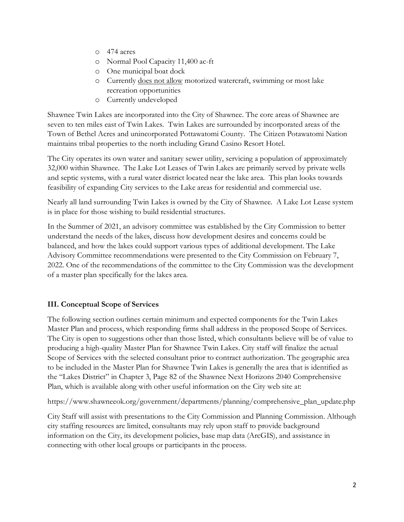- o 474 acres
- o Normal Pool Capacity 11,400 ac-ft
- o One municipal boat dock
- o Currently does not allow motorized watercraft, swimming or most lake recreation opportunities
- o Currently undeveloped

Shawnee Twin Lakes are incorporated into the City of Shawnee. The core areas of Shawnee are seven to ten miles east of Twin Lakes. Twin Lakes are surrounded by incorporated areas of the Town of Bethel Acres and unincorporated Pottawatomi County. The Citizen Potawatomi Nation maintains tribal properties to the north including Grand Casino Resort Hotel.

The City operates its own water and sanitary sewer utility, servicing a population of approximately 32,000 within Shawnee. The Lake Lot Leases of Twin Lakes are primarily served by private wells and septic systems, with a rural water district located near the lake area. This plan looks towards feasibility of expanding City services to the Lake areas for residential and commercial use.

Nearly all land surrounding Twin Lakes is owned by the City of Shawnee. A Lake Lot Lease system is in place for those wishing to build residential structures.

In the Summer of 2021, an advisory committee was established by the City Commission to better understand the needs of the lakes, discuss how development desires and concerns could be balanced, and how the lakes could support various types of additional development. The Lake Advisory Committee recommendations were presented to the City Commission on February 7, 2022. One of the recommendations of the committee to the City Commission was the development of a master plan specifically for the lakes area.

## **III. Conceptual Scope of Services**

The following section outlines certain minimum and expected components for the Twin Lakes Master Plan and process, which responding firms shall address in the proposed Scope of Services. The City is open to suggestions other than those listed, which consultants believe will be of value to producing a high-quality Master Plan for Shawnee Twin Lakes. City staff will finalize the actual Scope of Services with the selected consultant prior to contract authorization. The geographic area to be included in the Master Plan for Shawnee Twin Lakes is generally the area that is identified as the "Lakes District" in Chapter 3, Page 82 of the Shawnee Next Horizons 2040 Comprehensive Plan, which is available along with other useful information on the City web site at:

https://www.shawneeok.org/government/departments/planning/comprehensive\_plan\_update.php

City Staff will assist with presentations to the City Commission and Planning Commission. Although city staffing resources are limited, consultants may rely upon staff to provide background information on the City, its development policies, base map data (ArcGIS), and assistance in connecting with other local groups or participants in the process.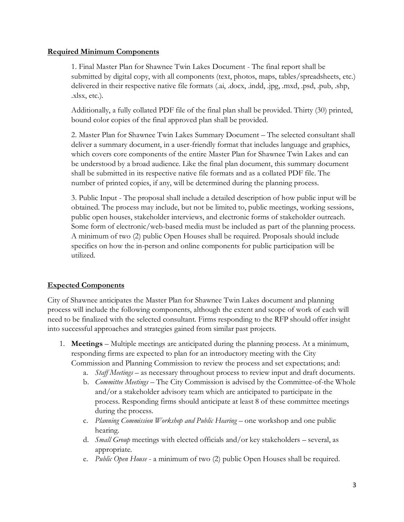#### **Required Minimum Components**

1. Final Master Plan for Shawnee Twin Lakes Document - The final report shall be submitted by digital copy, with all components (text, photos, maps, tables/spreadsheets, etc.) delivered in their respective native file formats (.ai, .docx, .indd, .jpg, .mxd, .psd, .pub, .shp, .xlsx, etc.).

Additionally, a fully collated PDF file of the final plan shall be provided. Thirty (30) printed, bound color copies of the final approved plan shall be provided.

2. Master Plan for Shawnee Twin Lakes Summary Document – The selected consultant shall deliver a summary document, in a user-friendly format that includes language and graphics, which covers core components of the entire Master Plan for Shawnee Twin Lakes and can be understood by a broad audience. Like the final plan document, this summary document shall be submitted in its respective native file formats and as a collated PDF file. The number of printed copies, if any, will be determined during the planning process.

3. Public Input - The proposal shall include a detailed description of how public input will be obtained. The process may include, but not be limited to, public meetings, working sessions, public open houses, stakeholder interviews, and electronic forms of stakeholder outreach. Some form of electronic/web-based media must be included as part of the planning process. A minimum of two (2) public Open Houses shall be required. Proposals should include specifics on how the in-person and online components for public participation will be utilized.

## **Expected Components**

City of Shawnee anticipates the Master Plan for Shawnee Twin Lakes document and planning process will include the following components, although the extent and scope of work of each will need to be finalized with the selected consultant. Firms responding to the RFP should offer insight into successful approaches and strategies gained from similar past projects.

- 1. **Meetings** Multiple meetings are anticipated during the planning process. At a minimum, responding firms are expected to plan for an introductory meeting with the City Commission and Planning Commission to review the process and set expectations; and:
	- a. *Staff Meetings* as necessary throughout process to review input and draft documents.
	- b. *Committee Meetings* The City Commission is advised by the Committee-of-the Whole and/or a stakeholder advisory team which are anticipated to participate in the process. Responding firms should anticipate at least 8 of these committee meetings during the process.
	- c. *Planning Commission Workshop and Public Hearing* one workshop and one public hearing.
	- d. *Small Group* meetings with elected officials and/or key stakeholders several, as appropriate.
	- e. *Public Open House* a minimum of two (2) public Open Houses shall be required.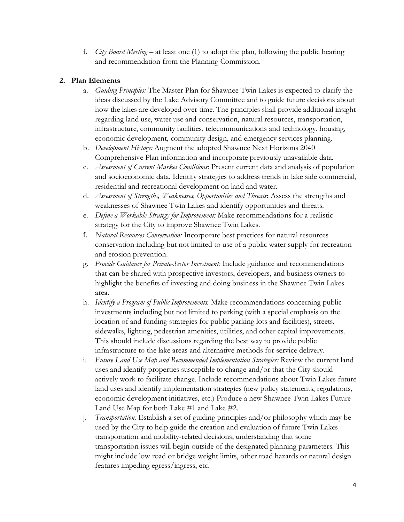f. *City Board Meeting* – at least one (1) to adopt the plan, following the public hearing and recommendation from the Planning Commission.

#### **2. Plan Elements**

- a. *Guiding Principles:* The Master Plan for Shawnee Twin Lakes is expected to clarify the ideas discussed by the Lake Advisory Committee and to guide future decisions about how the lakes are developed over time. The principles shall provide additional insight regarding land use, water use and conservation, natural resources, transportation, infrastructure, community facilities, telecommunications and technology, housing, economic development, community design, and emergency services planning.
- b. *Development History:* Augment the adopted Shawnee Next Horizons 2040 Comprehensive Plan information and incorporate previously unavailable data.
- c. *Assessment of Current Market Conditions*: Present current data and analysis of population and socioeconomic data. Identify strategies to address trends in lake side commercial, residential and recreational development on land and water.
- d. *Assessment of Strengths, Weaknesses, Opportunities and Threats*: Assess the strengths and weaknesses of Shawnee Twin Lakes and identify opportunities and threats.
- e. *Define a Workable Strategy for Improvement:* Make recommendations for a realistic strategy for the City to improve Shawnee Twin Lakes.
- f. *Natural Resources Conservation:* Incorporate best practices for natural resources conservation including but not limited to use of a public water supply for recreation and erosion prevention.
- g. *Provide Guidance for Private-Sector Investment:* Include guidance and recommendations that can be shared with prospective investors, developers, and business owners to highlight the benefits of investing and doing business in the Shawnee Twin Lakes area.
- h. *Identify a Program of Public Improvements.* Make recommendations concerning public investments including but not limited to parking (with a special emphasis on the location of and funding strategies for public parking lots and facilities), streets, sidewalks, lighting, pedestrian amenities, utilities, and other capital improvements. This should include discussions regarding the best way to provide public infrastructure to the lake areas and alternative methods for service delivery.
- i. *Future Land Use Map and Recommended Implementation Strategies:* Review the current land uses and identify properties susceptible to change and/or that the City should actively work to facilitate change. Include recommendations about Twin Lakes future land uses and identify implementation strategies (new policy statements, regulations, economic development initiatives, etc.) Produce a new Shawnee Twin Lakes Future Land Use Map for both Lake #1 and Lake #2.
- j. *Transportation:* Establish a set of guiding principles and/or philosophy which may be used by the City to help guide the creation and evaluation of future Twin Lakes transportation and mobility-related decisions; understanding that some transportation issues will begin outside of the designated planning parameters. This might include low road or bridge weight limits, other road hazards or natural design features impeding egress/ingress, etc.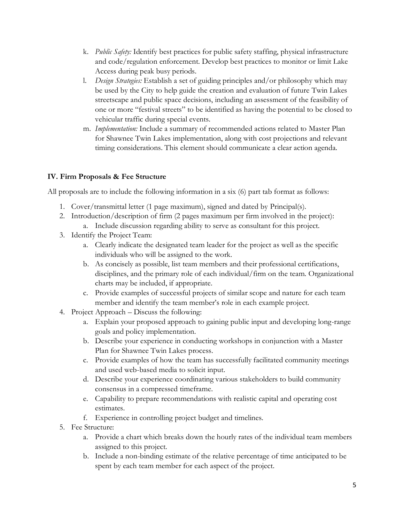- k. *Public Safety:* Identify best practices for public safety staffing, physical infrastructure and code/regulation enforcement. Develop best practices to monitor or limit Lake Access during peak busy periods.
- l. *Design Strategies:* Establish a set of guiding principles and/or philosophy which may be used by the City to help guide the creation and evaluation of future Twin Lakes streetscape and public space decisions, including an assessment of the feasibility of one or more "festival streets" to be identified as having the potential to be closed to vehicular traffic during special events.
- m. *Implementation:* Include a summary of recommended actions related to Master Plan for Shawnee Twin Lakes implementation, along with cost projections and relevant timing considerations. This element should communicate a clear action agenda.

## **IV. Firm Proposals & Fee Structure**

All proposals are to include the following information in a six (6) part tab format as follows:

- 1. Cover/transmittal letter (1 page maximum), signed and dated by Principal(s).
- 2. Introduction/description of firm (2 pages maximum per firm involved in the project): a. Include discussion regarding ability to serve as consultant for this project.
- 3. Identify the Project Team:
	- a. Clearly indicate the designated team leader for the project as well as the specific individuals who will be assigned to the work.
	- b. As concisely as possible, list team members and their professional certifications, disciplines, and the primary role of each individual/firm on the team. Organizational charts may be included, if appropriate.
	- c. Provide examples of successful projects of similar scope and nature for each team member and identify the team member's role in each example project.
- 4. Project Approach Discuss the following:
	- a. Explain your proposed approach to gaining public input and developing long-range goals and policy implementation.
	- b. Describe your experience in conducting workshops in conjunction with a Master Plan for Shawnee Twin Lakes process.
	- c. Provide examples of how the team has successfully facilitated community meetings and used web-based media to solicit input.
	- d. Describe your experience coordinating various stakeholders to build community consensus in a compressed timeframe.
	- e. Capability to prepare recommendations with realistic capital and operating cost estimates.
	- f. Experience in controlling project budget and timelines.
- 5. Fee Structure:
	- a. Provide a chart which breaks down the hourly rates of the individual team members assigned to this project.
	- b. Include a non-binding estimate of the relative percentage of time anticipated to be spent by each team member for each aspect of the project.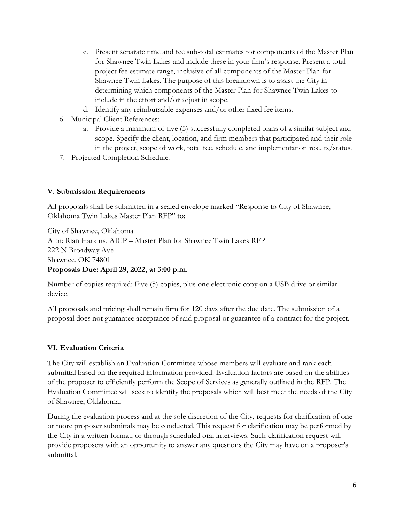- c. Present separate time and fee sub-total estimates for components of the Master Plan for Shawnee Twin Lakes and include these in your firm's response. Present a total project fee estimate range, inclusive of all components of the Master Plan for Shawnee Twin Lakes. The purpose of this breakdown is to assist the City in determining which components of the Master Plan for Shawnee Twin Lakes to include in the effort and/or adjust in scope.
- d. Identify any reimbursable expenses and/or other fixed fee items.
- 6. Municipal Client References:
	- a. Provide a minimum of five (5) successfully completed plans of a similar subject and scope. Specify the client, location, and firm members that participated and their role in the project, scope of work, total fee, schedule, and implementation results/status.
- 7. Projected Completion Schedule.

## **V. Submission Requirements**

All proposals shall be submitted in a sealed envelope marked "Response to City of Shawnee, Oklahoma Twin Lakes Master Plan RFP" to:

City of Shawnee, Oklahoma Attn: Rian Harkins, AICP – Master Plan for Shawnee Twin Lakes RFP 222 N Broadway Ave Shawnee, OK 74801 **Proposals Due: April 29, 2022, at 3:00 p.m.**

Number of copies required: Five (5) copies, plus one electronic copy on a USB drive or similar device.

All proposals and pricing shall remain firm for 120 days after the due date. The submission of a proposal does not guarantee acceptance of said proposal or guarantee of a contract for the project.

## **VI. Evaluation Criteria**

The City will establish an Evaluation Committee whose members will evaluate and rank each submittal based on the required information provided. Evaluation factors are based on the abilities of the proposer to efficiently perform the Scope of Services as generally outlined in the RFP. The Evaluation Committee will seek to identify the proposals which will best meet the needs of the City of Shawnee, Oklahoma.

During the evaluation process and at the sole discretion of the City, requests for clarification of one or more proposer submittals may be conducted. This request for clarification may be performed by the City in a written format, or through scheduled oral interviews. Such clarification request will provide proposers with an opportunity to answer any questions the City may have on a proposer's submittal.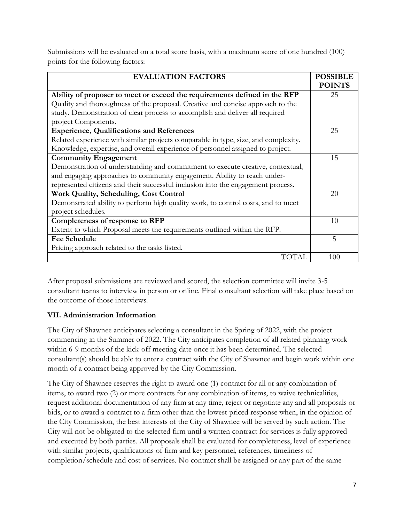Submissions will be evaluated on a total score basis, with a maximum score of one hundred (100) points for the following factors:

| <b>EVALUATION FACTORS</b>                                                          | <b>POSSIBLE</b> |
|------------------------------------------------------------------------------------|-----------------|
|                                                                                    | <b>POINTS</b>   |
| Ability of proposer to meet or exceed the requirements defined in the RFP          | 25              |
| Quality and thoroughness of the proposal. Creative and concise approach to the     |                 |
| study. Demonstration of clear process to accomplish and deliver all required       |                 |
| project Components.                                                                |                 |
| <b>Experience, Qualifications and References</b>                                   | 25              |
| Related experience with similar projects comparable in type, size, and complexity. |                 |
| Knowledge, expertise, and overall experience of personnel assigned to project.     |                 |
| <b>Community Engagement</b>                                                        | 15              |
| Demonstration of understanding and commitment to execute creative, contextual,     |                 |
| and engaging approaches to community engagement. Ability to reach under-           |                 |
| represented citizens and their successful inclusion into the engagement process.   |                 |
| Work Quality, Scheduling, Cost Control                                             | 20              |
| Demonstrated ability to perform high quality work, to control costs, and to meet   |                 |
| project schedules.                                                                 |                 |
| Completeness of response to RFP                                                    | 10              |
| Extent to which Proposal meets the requirements outlined within the RFP.           |                 |
| <b>Fee Schedule</b>                                                                | 5               |
| Pricing approach related to the tasks listed.                                      |                 |
| TOTAL                                                                              | 100             |

After proposal submissions are reviewed and scored, the selection committee will invite 3-5 consultant teams to interview in person or online. Final consultant selection will take place based on the outcome of those interviews.

# **VII. Administration Information**

The City of Shawnee anticipates selecting a consultant in the Spring of 2022, with the project commencing in the Summer of 2022. The City anticipates completion of all related planning work within 6-9 months of the kick-off meeting date once it has been determined. The selected consultant(s) should be able to enter a contract with the City of Shawnee and begin work within one month of a contract being approved by the City Commission.

The City of Shawnee reserves the right to award one (1) contract for all or any combination of items, to award two (2) or more contracts for any combination of items, to waive technicalities, request additional documentation of any firm at any time, reject or negotiate any and all proposals or bids, or to award a contract to a firm other than the lowest priced response when, in the opinion of the City Commission, the best interests of the City of Shawnee will be served by such action. The City will not be obligated to the selected firm until a written contract for services is fully approved and executed by both parties. All proposals shall be evaluated for completeness, level of experience with similar projects, qualifications of firm and key personnel, references, timeliness of completion/schedule and cost of services. No contract shall be assigned or any part of the same